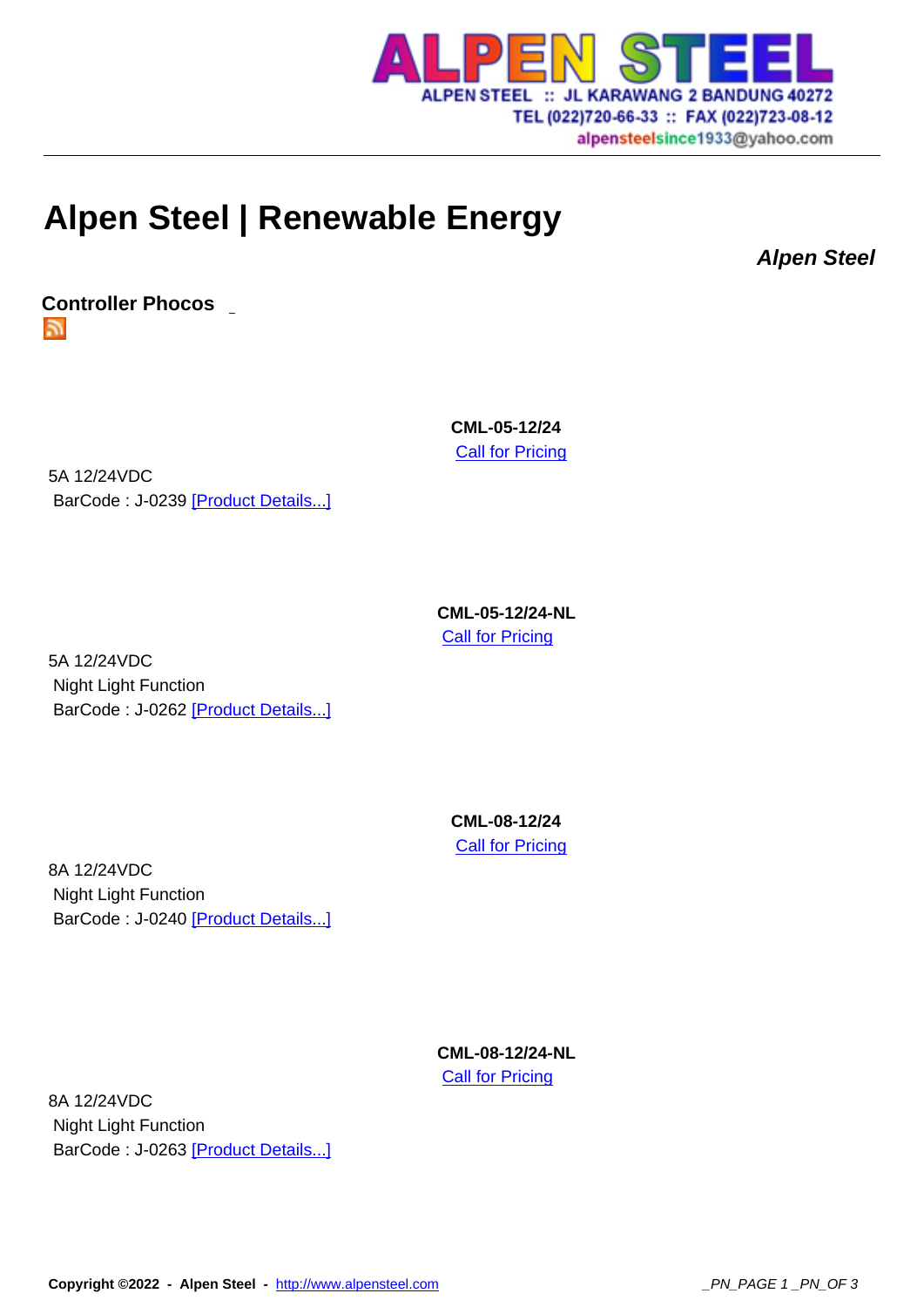

## **Alpen Steel | Renew[able Energy](http://www.alpensteel.com)**

**Alpen Steel**

**Controller Phocos**  51

> **CML-05-12/24 Call for Pricing**

5A 12/24VDC BarCode : J-0239 [Product Details...]

> **CML-05-12/24-NL Call for Pricing**

5A 12/24VDC Night Light Function BarCode : J-0262 [Product Details...]

> **CML-08-12/24 Call for Pricing**

8A 12/24VDC Night Light Function BarCode : J-0240 [Product Details...]

> **CML-08-12/24-NL Call for Pricing**

8A 12/24VDC Night Light Function BarCode : J-0263 [Product Details...]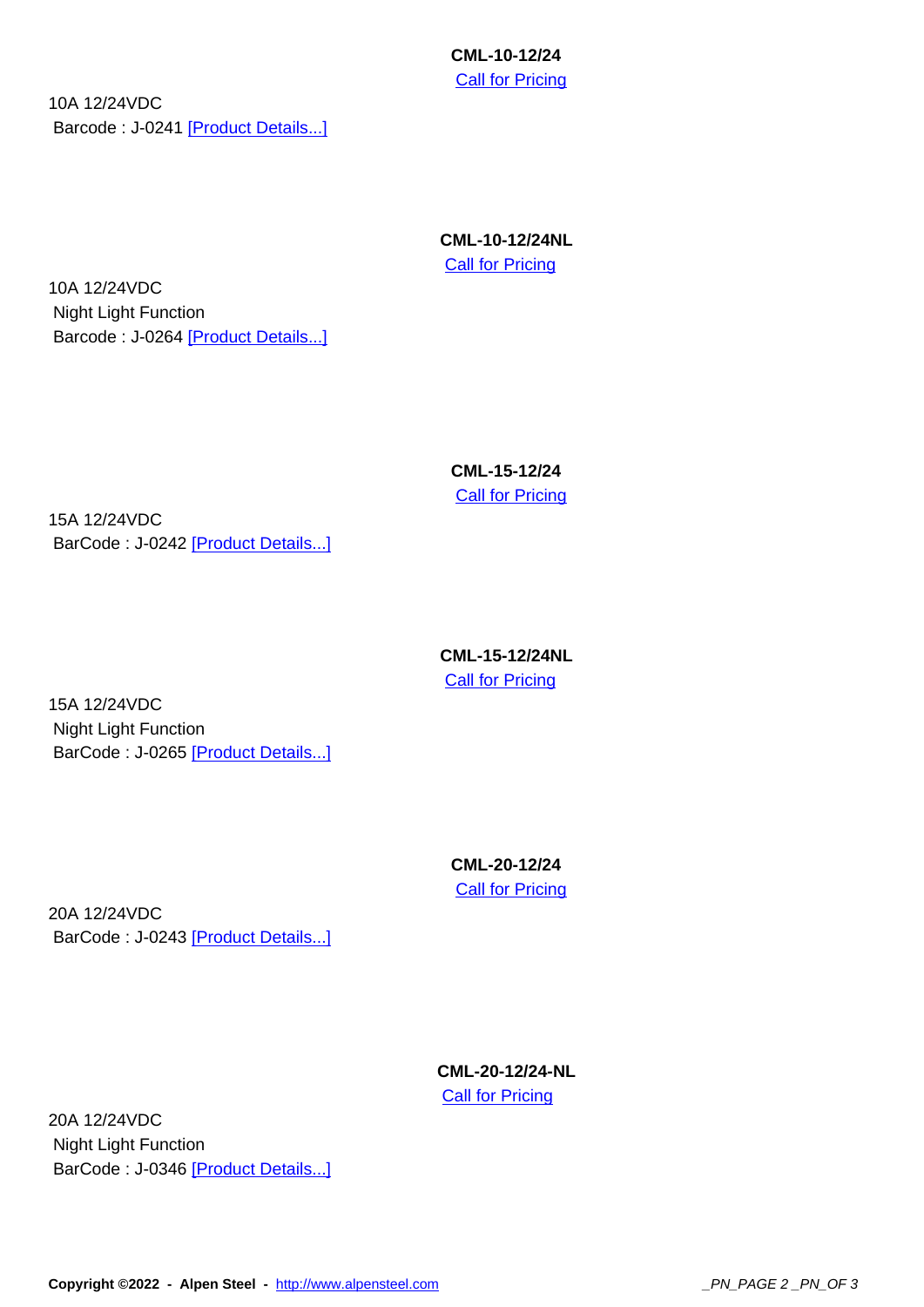**Call for Pricing** 

10A 12/24VDC Barcode : J-0241 [Product Details...]

> **CML-10-12/24NL Call for Pricing**

10A 12/24VDC Night Light Function Barcode : J-0264 [Product Details...]

> **CML-15-12/24 Call for Pricing**

15A 12/24VDC BarCode : J-0242 [Product Details...]

> **CML-15-12/24NL Call for Pricing**

15A 12/24VDC Night Light Function BarCode : J-0265 [Product Details...]

> **CML-20-12/24 Call for Pricing**

20A 12/24VDC BarCode : J-0243 [Product Details...]

> **CML-20-12/24-NL Call for Pricing**

20A 12/24VDC Night Light Function BarCode : J-0346 [Product Details...]